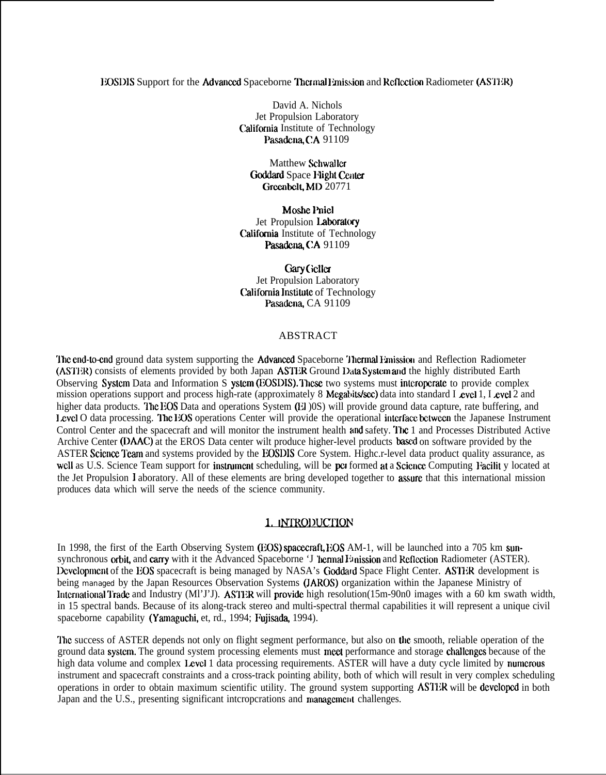#### EOSDIS Support for the Advanced Spaceborne Thermal Emission and Reflection Radiometer (ASTER)

David A. Nichols Jet Propulsion Laboratory California Institute of Technology Pasadena, CA 91109

Matthew Schwaller **Goddard Space Flight Center** Greenbelt, MD 20771

Moshe Pniel Jet Propulsion Laboratory California Institute of Technology Pasadena, CA 91109

Gary Geller Jet Propulsion Laboratory California Institute of Technology Pasadena, CA 91109

### **ABSTRACT**

The end-to-end ground data system supporting the Advanced Spaceborne Thermal Finission and Reflection Radiometer (ASTER) consists of elements provided by both Japan ASTER Ground Data System and the highly distributed Earth Observing System Data and Information S ystem (EOSDIS). These two systems must interoperate to provide complex mission operations support and process high-rate (approximately 8 Megabits/sec) data into standard I evel 1, I evel 2 and higher data products. The EOS Data and operations System (El) 0S) will provide ground data capture, rate buffering, and Level O data processing. The HOS operations Center will provide the operational interface between the Japanese Instrument Control Center and the spacecraft and will monitor the instrument health and safety. The 1 and Processes Distributed Active Archive Center (DAAC) at the EROS Data center wilt produce higher-level products based on software provided by the ASTER Science Team and systems provided by the EOSDIS Core System. Highc.r-level data product quality assurance, as well as U.S. Science Team support for instrument scheduling, will be per formed at a Science Computing Facility located at the Jet Propulsion I aboratory. All of these elements are bring developed together to assure that this international mission produces data which will serve the needs of the science community.

# 1. INTRODUCTION

In 1998, the first of the Earth Observing System (EOS) spacecraft, EOS AM-1, will be launched into a 705 km sunsynchronous orbit, and carry with it the Advanced Spaceborne 'J 'hermal Fanission and Reflection Radiometer (ASTER). Development of the EOS spacecraft is being managed by NASA's Goddard Space Flight Center. ASTER development is being managed by the Japan Resources Observation Systems (JAROS) organization within the Japanese Ministry of International Trade and Industry (MI'J'J). ASTER will provide high resolution(15m-90n0 images with a 60 km swath width, in 15 spectral bands. Because of its along-track stereo and multi-spectral thermal capabilities it will represent a unique civil spaceborne capability (Yamaguchi, et, rd., 1994; Fujisada, 1994).

The success of ASTER depends not only on flight segment performance, but also on the smooth, reliable operation of the ground data system. The ground system processing elements must meet performance and storage challenges because of the high data volume and complex Level 1 data processing requirements. ASTER will have a duty cycle limited by numerous instrument and spacecraft constraints and a cross-track pointing ability, both of which will result in very complex scheduling operations in order to obtain maximum scientific utility. The ground system supporting ASTER will be developed in both Japan and the U.S., presenting significant interoperations and management challenges.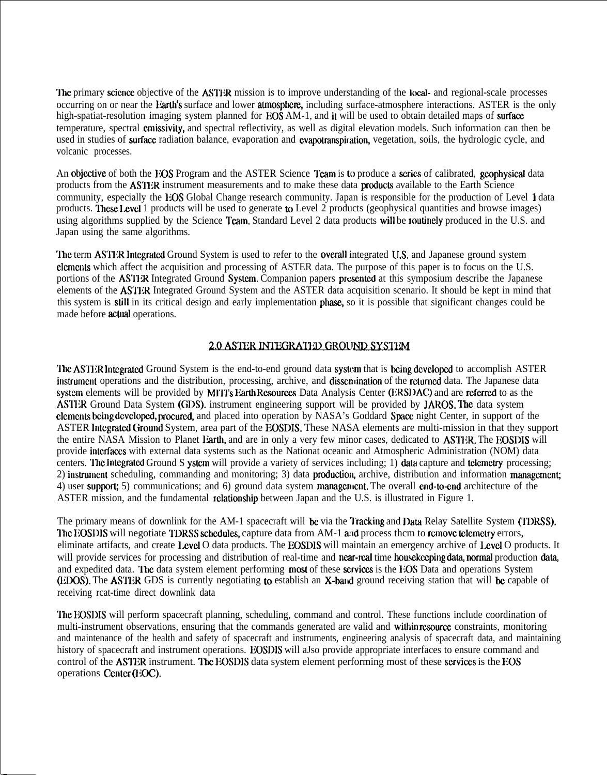The primary science objective of the ASTER mission is to improve understanding of the local- and regional-scale processes occurring on or near the Earth's surface and lower atmosphere, including surface-atmosphere interactions. ASTER is the only high-spatiat-resolution imaging system planned for EOS AM-1, and it will be used to obtain detailed maps of surface temperature, spectral emissivity, and spectral reflectivity, as well as digital elevation models. Such information can then be used in studies of surface radiation balance, evaporation and evapotranspiration, vegetation, soils, the hydrologic cycle, and volcanic processes.

An objective of both the EOS Program and the ASTER Science Team is to produce a series of calibrated, geophysical data products from the ASTER instrument measurements and to make these data products available to the Earth Science community, especially the EOS Global Change research community. Japan is responsible for the production of Level 1 data products. These Level 1 products will be used to generate to Level 2 products (geophysical quantities and browse images) using algorithms supplied by the Science Team, Standard Level 2 data products will be routinely produced in the U.S. and Japan using the same algorithms.

The term ASTER Integrated Ground System is used to refer to the overall integrated U.S. and Japanese ground system elements which affect the acquisition and processing of ASTER data. The purpose of this paper is to focus on the U.S. portions of the ASTER Integrated Ground System. Companion papers presented at this symposium describe the Japanese elements of the ASTER Integrated Ground System and the ASTER data acquisition scenario. It should be kept in mind that this system is still in its critical design and early implementation phaw, so it is possible that significant changes could be made before **actual** operations.

# **2.0 ASTER INTEGRATED GROUND SYSTEM**

The ASTER Integrated Ground System is the end-to-end ground data system that is being developed to accomplish ASTER instrument operations and the distribution, processing, archive, and dissensination of the returned data. The Japanese data system elements will be provided by MITI's Earth Resources Data Analysis Center (ERSDAC) and are referred to as the ASTER Ground Data System (GDS), instrument engineering support will be provided by JAROS. The data system clements being developed, procured, and placed into operation by NASA's Goddard Space night Center, in support of the ASTER Integrated Ground System, area part of the EOSDIS. These NASA elements are multi-mission in that they support the entire NASA Mission to Planet Earth, and are in only a very few minor cases, dedicated to ASTER. The EOSDIS will provide interfaces with external data systems such as the Nationat oceanic and Atmospheric Administration (NOM) data centers. The Integrated Ground S ystem will provide a variety of services including; 1) data capture and telemetry processing; 2) instrument scheduling, commanding and monitoring; 3) data production, archive, distribution and information management; 4) user support; 5) communications; and 6) ground data system management. The overall end-to-end architecture of the ASTER mission, and the fundamental **relationship** between Japan and the U.S. is illustrated in Figure 1.

The primary means of downlink for the AM-1 spacecraft will be via the Tracking and Data Relay Satellite System (TDRSS). The EOSINS will negotiate TDRSS schedules, capture data from AM-1 and process them to remove telemetry errors, eliminate artifacts, and create Level O data products. The EOSDIS will maintain an emergency archive of Level O products. It will provide services for processing and distribution of real-time and near-real time housekeeping data, normal production data, and expedited data. The data system element performing most of these services is the HOS Data and operations System (EDOS). The ASTER GDS is currently negotiating to establish an X-band ground receiving station that will be capable of receiving rcat-time direct downlink data

**The EOSDIS** will perform spacecraft planning, scheduling, command and control. These functions include coordination of multi-instrument observations, ensuring that the commands generated are valid and within resource constraints, monitoring and maintenance of the health and safety of spacecraft and instruments, engineering analysis of spacecraft data, and maintaining history of spacecraft and instrument operations. EOSDIS will aJso provide appropriate interfaces to ensure command and control of the ASTER instrument. The HOSDIS data system element performing most of these services is the HOS operations Center (EOC).

—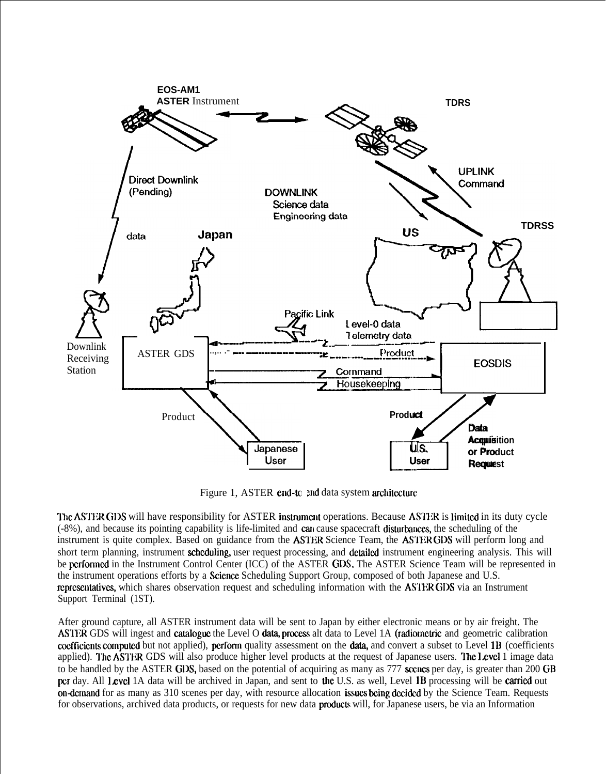

Figure 1, ASTER end-to end data system architecture

The ASTER GDS will have responsibility for ASTER instrument operations. Because ASTER is limited in its duty cycle (-8%), and because its pointing capability is life-limited and can cause spacecraft disturbances, the scheduling of the instrument is quite complex. Based on guidance from the ASTER Science Team, the ASTER GDS will perform long and short term planning, instrument scheduling, user request processing, and detailed instrument engineering analysis. This will be performed in the Instrument Control Center (ICC) of the ASTER GDS. The ASTER Science Team will be represented in the instrument operations efforts by a Science Scheduling Support Group, composed of both Japanese and U.S. representatives, which shares observation request and scheduling information with the ASTER GDS via an Instrument Support Terminal (1ST).

After ground capture, all ASTER instrument data will be sent to Japan by either electronic means or by air freight. The ASTER GDS will ingest and catalogue the Level O data, process alt data to Level 1A (radiometric and geometric calibration coefficients computed but not applied), perform quality assessment on the data, and convert a subset to Level 1B (coefficients applied). The ASTER GDS will also produce higher level products at the request of Japanese users. The Level 1 image data to be handled by the ASTER GDS, based on the potential of acquiring as many as 777 scenes per day, is greater than 200 GB per day. All Level 1A data will be archived in Japan, and sent to the U.S. as well, Level 1B processing will be carried out on-demand for as many as 310 scenes per day, with resource allocation issues being decided by the Science Team. Requests for observations, archived data products, or requests for new data **products** will, for Japanese users, be via an Information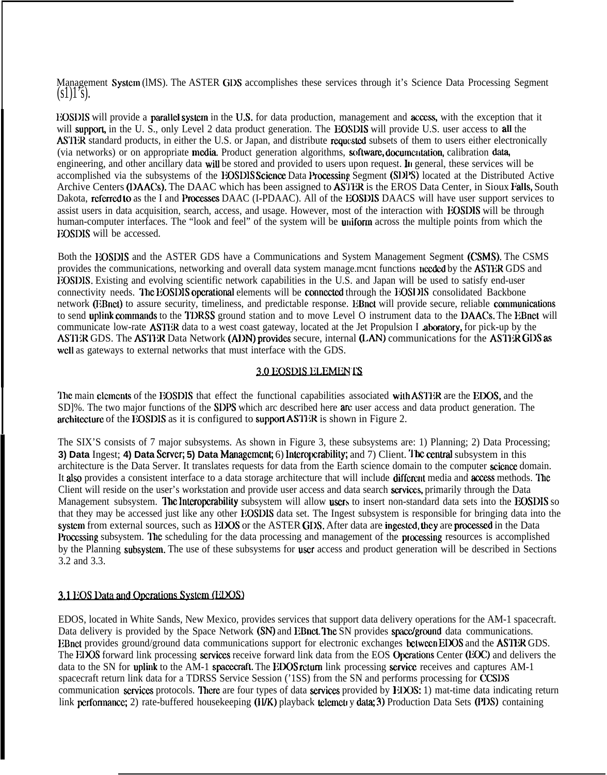Management Systcm (lMS). The ASTER GDS accomplishes these services through it's Science Data Processing Segment  $(s1)1\tilde{s}$ ).

EOSDIS will provide a **parallel system** in the U.S. for data production, management and **access**, with the exception that it will support in the U. S., only Level 2 data product generation. The EOSDIS will provide U.S. user access to all the ASTER standard products, in either the U.S. or Japan, and distribute requested subsets of them to users either electronically (via networks) or on appropriate media. Product generation algorithms, software, documentation, calibration data, engineering, and other ancillary data **will** be stored and provided to users upon request. In general, these services will be accomplished via the subsystems of the EOSDIS Science Data Processing Segment (SDPS) located at the Distributed Active Archive Centers (DAACs). The DAAC which has been assigned to ASTER is the EROS Data Center, in Sioux Falls, South Dakota, referred to as the I and Processes DAAC (I-PDAAC). All of the EOSDIS DAACS will have user support services to assist users in data acquisition, search, access, and usage. However, most of the interaction with EOSDIS will be through human-computer interfaces. The "look and feel" of the system will be **uniform** across the multiple points from which the FOSDIS will be accessed.

Both the EOSDIS and the ASTER GDS have a Communications and System Management Segment (CSMS). The CSMS provides the communications, networking and overall data system manage, ment functions needed by the ASTER GDS and  $\hat{E}$ COSIDIS. Existing and evolving scientific network capabilities in the U.S. and Japan will be used to satisfy end-user connectivity needs. The EOSDIS operational elements will be connected through the HOSDIS consolidated Backbone network (EBnct) to assure security, timeliness, and predictable response. EBnct will provide secure, reliable communications to send uplink commands to the TDRSS ground station and to move Level O instrument data to the DAACs. The EBnet will communicate low-rate ASTER data to a west coast gateway, located at the Jet Propulsion I aboratory, for pick-up by the ASTER GDS. The ASTER Data Network (ADN) provides secure, internal (LAN) communications for the ASTER GDS as well as gateways to external networks that must interface with the GDS.

### **3.0 EOSDIS ELEMENTS**

The main clements of the EOSDIS that effect the functional capabilities associated with ASTER are the EDOS, and the SD]%. The two major functions of the **WI'S** which arc described here am user access and data product generation. The architecture of the EOSDIS as it is configured to support ASTER is shown in Figure 2.

The SIX'S consists of 7 major subsystems. As shown in Figure 3, these subsystems are: 1) Planning; 2) Data Processing; **3) Data Ingest; 4) Data Server; 5) Data Management; 6) Interoperability; and 7) Client. The central subsystem in this** architecture is the Data Server. It translates requests for data from the Earth science domain to the computer scicncc domain. It also provides a consistent interface to a data storage architecture that will include different media and access methods. The Client will reside on the user's workstation and provide user access and data search scrvices, primarily through the Data Management subsystem. The Interoperability subsystem will allow users to insert non-standard data sets into the EOSDIS so that they may be accessed just like any other EOSDIS data set. The Ingest subsystem is responsible for bringing data into the system from external sources, such as EDOS or the ASTER GDS. After data are ingested, they are processed in the Data Processing subsystem. The scheduling for the data processing and management of the processing resources is accomplished by the Planning subsystem. The use of these subsystems for user access and product generation will be described in Sections 3.2 and 3.3.

# 3.1 EOS Data and Operations System (EDOS)

I

EDOS, located in White Sands, New Mexico, provides services that support data delivery operations for the AM-1 spacecraft. Data delivery is provided by the Space Network (SN) and EBnct. The SN provides space/ground data communications. HBnct provides ground/ground data communications support for electronic exchanges bctwccn EDOS and the ASlliR GDS. The EDOS forward link processing services receive forward link data from the EOS Operations Center (EOC) and delivers the data to the SN for uplink to the AM-1 spacecraft. The EDOS rcturn link processing service receives and captures AM-1 spacecraft return link data for a TDRSS Service Session ('1SS) from the SN and performs processing for CCSDS communication services protocols. There are four types of data services provided by  $EDOS: 1$ ) mat-time data indicating return link performance; 2) rate-buffered housekeeping  $(IJK)$  playback telemet y data; 3) Production Data Sets (PDS) containing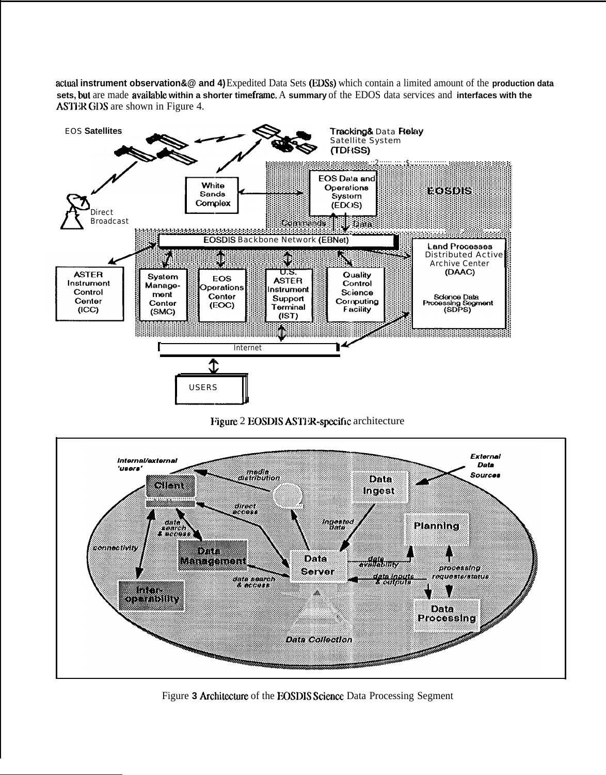actual instrument observation&@ and 4)Expedited Data Sets (EDSs) which contain a limited amount of the production data sets, but are made available within a shorter timeframe. A summary of the EDOS data services and interfaces with the **ASTER GDS** are shown in Figure 4.







Figure 3 Architecture of the EOSDIS Science Data Processing Segment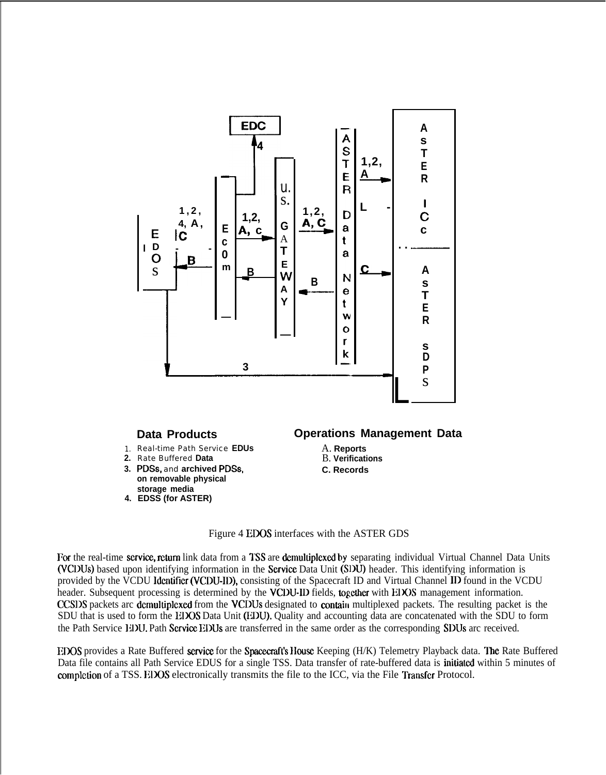

- 1. Real-time Path Service EDUs **A. Reports**
- **2.** Rate Buffered Data B. Verifications
- **3. PDSS,** and **archived PDSS, C. Records on removable physical storage media**
- **4. EDSS (for ASTER)**

# **Data Products Operations Management Data**

- -
	-

Figure 4 EDOS interfaces with the ASTER GDS

For the real-time service, return link data from a TSS are demultiplexed by separating individual Virtual Channel Data Units (VCDUs) based upon identifying information in the Service Data Unit (SDU) header. This identifying information is provided by the VCDU Idcntiticr (VCDU-lD), consisting of the Spacecraft ID and Virtual Channel ID found in the VCDU header. Subsequent processing is determined by the VCDU-ID fields, together with EIXOS management information. CCSDS packets arc demultiplexed from the VCDUs designated to contain multiplexed packets. The resulting packet is the SDU that is used to form the EDOS Data Unit (EDU). Quality and accounting data are concatenated with the SDU to form the Path Service HDU. Path Scrviec EDUs are transferred in the same order as the corresponding SDUs arc received.

EDOS provides a Rate Buffered service for the Spacecraft's House Keeping (H/K) Telemetry Playback data. The Rate Buffered Data file contains all Path Service EDUS for a single TSS. Data transfer of rate-buffered data is initiatd within 5 minutes of completion of a TSS. EDOS electronically transmits the file to the ICC, via the File Transfer Protocol.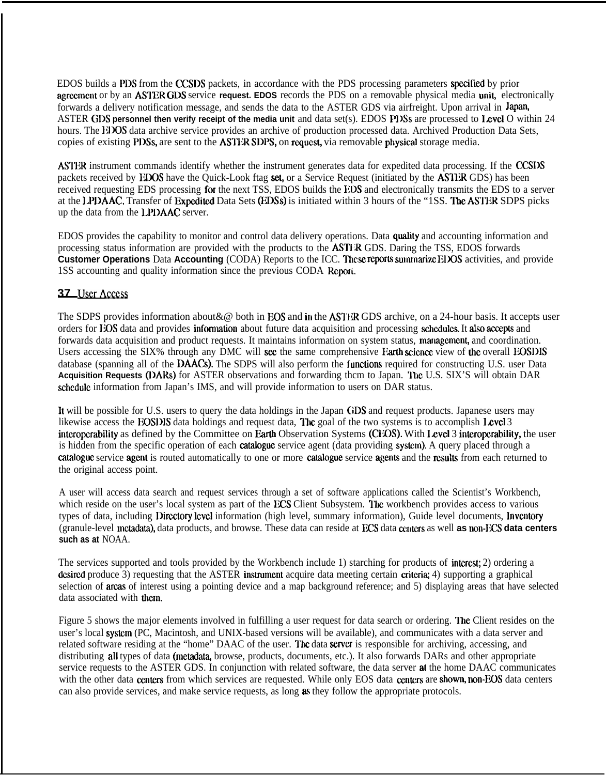EDOS builds a PDS from the CCSDS packets, in accordance with the PDS processing parameters spccitied by prior agrecment or by an **ASTER GDS** service **request. EDOS** records the PDS on a removable physical media unit, electronically forwards a delivery notification message, and sends the data to the ASTER GDS via airfreight. Upon arrival in Japan, ASTER GDS personnel then verify receipt of the media unit and data set(s). EDOS PDSs are processed to Level O within 24 hours. The EDOS data archive service provides an archive of production processed data. Archived Production Data Sets, copies of existing PDSs, are sent to the ASTER SDPS, on request, via removable physical storage media.

ASTER instrument commands identify whether the instrument generates data for expedited data processing. If the CCSDS packets received by EDOS have the Quick-Look ftag set, or a Service Request (initiated by the ASTER GDS) has been received requesting EDS processing for the next TSS, EDOS builds the EDS and electronically transmits the EDS to a server at the LPDAAC. Transfer of Expedited Data Sets (EDSs) is initiated within 3 hours of the "1SS. The ASTER SDPS picks up the data from the I.PDAAC server.

EDOS provides the capability to monitor and control data delivery operations. Data qualhy and accounting information and processing status information are provided with the products to the **ASTLR GDS**. Daring the TSS, EDOS forwards **Customer Operations** Data **Accounting** (CODA) Reports to the ICC. These reports summarize EDOS activities, and provide 1SS accounting and quality information since the previous CODA Report.

# **37 User Access**

The SDPS provides information about  $\& \&$  both in EOS and in the ASTER GDS archive, on a 24-hour basis. It accepts user orders for ICOS data and provides information about future data acquisition and processing schedules. It also accepts and forwards data acquisition and product requests. It maintains information on system status, management, and coordination. Users accessing the SIX% through any DMC will see the same comprehensive Farth science view of the overall EOSDIS database (spanning all of the **DAACs)**. The SDPS will also perform the functions required for constructing U.S. user Data **Acquisition Requests** (DARs) for ASTER observations and forwarding thcm to Japan. "lhe U.S. SIX'S will obtain DAR schcdulc information from Japan's IMS, and will provide information to users on DAR status.

It will be possible for U.S. users to query the data holdings in the Japan GDS and request products. Japanese users may likewise access the EOSDIS data holdings and request data, The goal of the two systems is to accomplish Level 3 interoperability as defined by the Committee on **Farth** Observation Systems (CFOS). With Level 3 interoperability, the user is hidden from the specific operation of each **catalogue** service agent (data providing system). A query placed through a catalogue service agent is routed automatically to one or more catalogue service agents and the results from each returned to the original access point.

A user will access data search and request services through a set of software applications called the Scientist's Workbench, which reside on the user's local system as part of the ECS Client Subsystem. The workbench provides access to various types of data, including Directory level information (high level, summary information), Guide level documents, Inventory (granule-level mctadata), data products, and browse. These data can reside at ECS data centers as well **as non-ICS data centers such as at** NOAA.

The services supported and tools provided by the Workbench include 1) starching for products of **interest**; 2) ordering a desired produce 3) requesting that the ASTER instrument acquire data meeting certain criteria; 4) supporting a graphical selection of **areas** of interest using a pointing device and a map background reference; and 5) displaying areas that have selected data associated with them.

Figure 5 shows the major elements involved in fulfilling a user request for data search or ordering. The Client resides on the user's local system (PC, Macintosh, and UNIX-based versions will be available), and communicates with a data server and related software residing at the "home" DAAC of the user. The data server is responsible for archiving, accessing, and distributing all types of data (metadata, browse, products, documents, etc.). It also forwards DARs and other appropriate service requests to the ASTER GDS. In conjunction with related software, the data server at the home DAAC communicates with the other data centers from which services are requested. While only EOS data centers are shown, non-EOS data centers can also provide services, and make service requests, as long as they follow the appropriate protocols.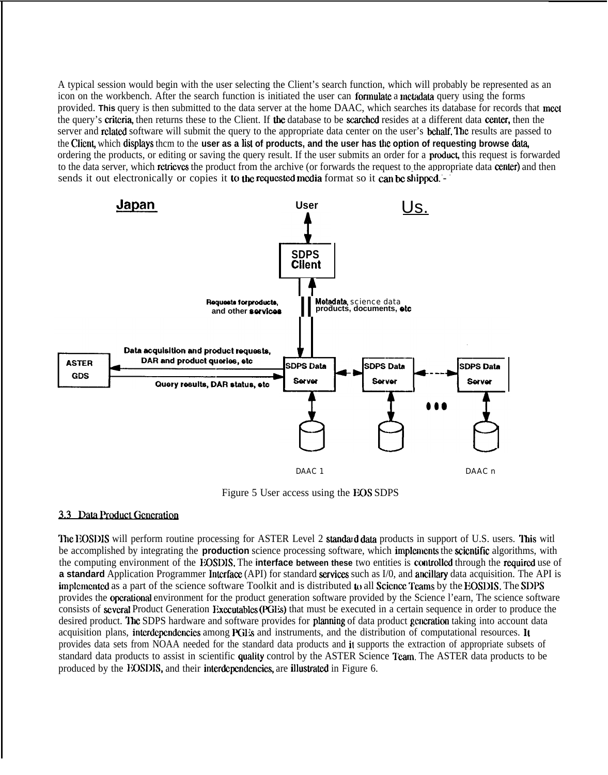A typical session would begin with the user selecting the Client's search function, which will probably be represented as an icon on the workbench. After the search function is initiated the user can **formulate** a metadata query using the forms provided. **This** query is then submitted to the data server at the home DAAC, which searches its database for records that med the query's criteria, then returns these to the Client. If the database to be scarched resides at a different data center, then the server and **rclated** software will submit the query to the appropriate data center on the user's **bchalf.** The results are passed to the Client, which displays them to the **user as a list of products, and the user has the option of requesting browse** data, ordering the products, or editing or saving the query result. If the user submits an order for a **product**, this request is forwarded to the data server, which retrieves the product from the archive (or forwards the request to the appropriate data center) and then sends it out electronically or copies it to the requested media format so it can be shipped. --



Figure 5 User access using the **EOS** SDPS

# 3.3 Data Product Generation

The EOSIDIS will perform routine processing for ASTER Level 2 standard data products in support of U.S. users. This witl be accomplished by integrating the **production** science processing software, which **implements** the **scientific** algorithms, with the computing environment of the **EOSDIS**. The **interface between these** two entities is controlled through the required use of **a standard** Application Programmer Interface (API) for standard services such as I/0, and ancillary data acquisition. The API is implcmcntcd as a part of the science software Toolkit and is distributed to all Scicncc Teams by the EOSDIS. The SDPS provides the **operational** environment for the product generation software provided by the Science l'earn, The science software consists of scvcraJ Product Generation Exccutables (PGEs) that must be executed in a certain sequence in order to produce the desired product. The SDPS hardware and software provides for planning of data product generation taking into account data acquisition plans, interdependencies among PGEs and instruments, and the distribution of computational resources. It provides data sets from NOAA needed for the standard data products and it supports the extraction of appropriate subsets of standard data products to assist in scientific quality control by the ASTER Science Team. The ASTER data products to be produced by the FOSDIS, and their interdependencies, are illustrated in Figure 6.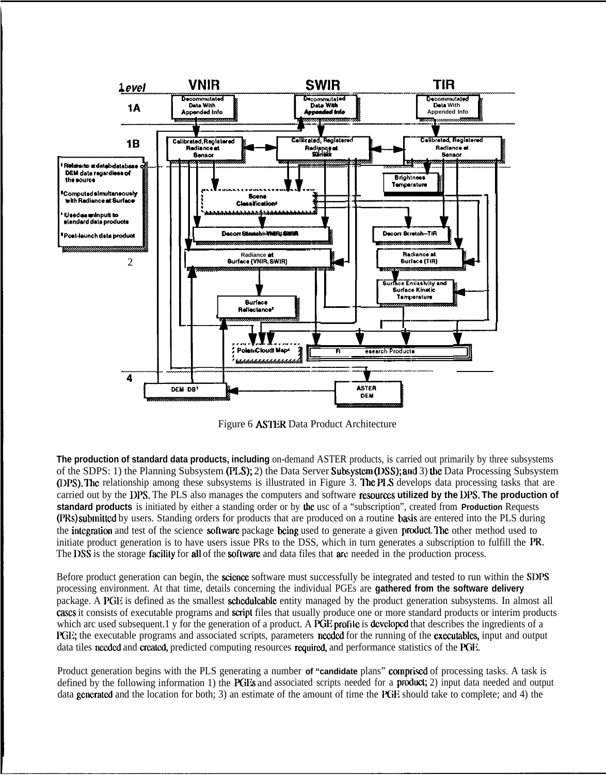

Figure 6 ASTER Data Product Architecture

The production of standard data products, including on-demand ASTER products, is carried out primarily by three subsystems of the SDPS: 1) the Planning Subsystem (PLS); 2) the Data Server Subsystem (DSS); and 3) the Data Processing Subsystem (DPS). The relationship among these subsystems is illustrated in Figure 3. The PLS develops data processing tasks that are carried out by the DPS. The PLS also manages the computers and software resources utilized by the DPS. The production of standard products is initiated by either a standing order or by the usc of a "subscription", created from Production Requests (PRs) submitted by users. Standing orders for products that are produced on a routine basis are entered into the PLS during the integration and test of the science software package being used to generate a given product. The other method used to initiate product generation is to have users issue PRs to the DSS, which in turn generates a subscription to fulfill the PR. The DSS is the storage facility for all of the software and data files that are needed in the production process.

Before product generation can begin, the science software must successfully be integrated and tested to run within the SDPS processing environment. At that time, details concerning the individual PGEs are gathered from the software delivery package. A PGE is defined as the smallest scheduleable entity managed by the product generation subsystems. In almost all cases it consists of executable programs and script files that usually produce one or more standard products or interim products which are used subsequent.  $\frac{1}{1}$  y for the generation of a product. A PGE profile is developed that describes the ingredients of a PGE; the executable programs and associated scripts, parameters needed for the running of the executables, input and output data tiles needed and created, predicted computing resources required, and performance statistics of the PGE.

Product generation begins with the PLS generating a number of "candidate plans" comprised of processing tasks. A task is defined by the following information 1) the **PGEs** and associated scripts needed for a **product**; 2) input data needed and output data generated and the location for both; 3) an estimate of the amount of time the PGE should take to complete; and 4) the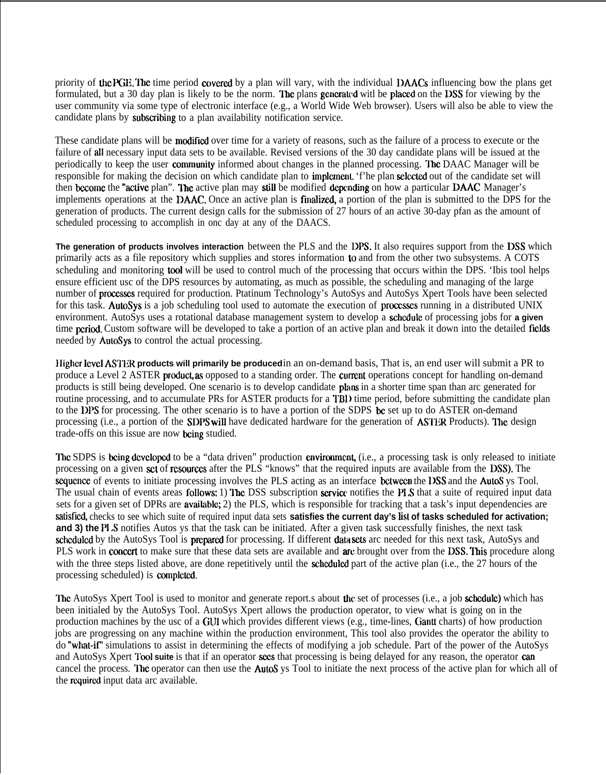priority of the PGE. The time period covered by a plan will vary, with the individual DAACs influencing bow the plans get formulated, but a 30 day plan is likely to be the norm. The plans generated witl be placed on the DSS for viewing by the user community via some type of electronic interface (e.g., a World Wide Web browser). Users will also be able to view the candidate plans by subscribing to a plan availability notification service.

These candidate plans will be **modified** over time for a variety of reasons, such as the failure of a process to execute or the failure of all necessary input data sets to be available. Revised versions of the 30 day candidate plans will be issued at the periodically to keep the user emnrnunity informed about changes in the planned processing. 'lhe DAAC Manager will be responsible for making the decision on which candidate plan to implcmerlL 'f'he plan selected out of the candidate set will then become the "active plan". The active plan may still be modified depending on how a particular DAAC Manager's implements operations at the DAAC. Once an active plan is finalized a portion of the plan is submitted to the DPS for the generation of products. The current design calls for the submission of 27 hours of an active 30-day pfan as the amount of scheduled processing to accomplish in onc day at any of the DAACS.

**The generation of products involves interaction** between the PLS and the DPS. It also requires support from the DSS which primarily acts as a file repository which supplies and stores information to and from the other two subsystems. A COTS scheduling and monitoring tool will be used to control much of the processing that occurs within the DPS. 'Ibis tool helps ensure efficient usc of the DPS resources by automating, as much as possible, the scheduling and managing of the large number of proccsscs required for production. Ptatinum Technology's AutoSys and AutoSys Xpert Tools have been selected for this task. AutoSys is a job scheduling tool used to automate the execution of processes running in a distributed UNIX environment. AutoSys uses a rotational database management system to develop a schcdulc of processing jobs for **a given** time period. Custom software will be developed to take a portion of an active plan and break it down into the detailed fields needed by AutoSys to control the actual processing.

**IIigher level ASTER products will primarily be produced in an on-demand basis, That is, an end user will submit a PR to** produce a Level 2 ASTER product, as opposed to a standing order. The current operations concept for handling on-demand products is still being developed. One scenario is to develop candidate pkms in a shorter time span than arc generated for routine processing, and to accumulate PRs for ASTER products for a TBI) time period, before submitting the candidate plan to the DPS for processing. The other scenario is to have a portion of the SDPS be set up to do ASTER on-demand processing (i.e., a portion of the SDPS will have dedicated hardware for the generation of ASTER Products). The design trade-offs on this issue are now being studied.

The SDPS is **being developed** to be a "data driven" production **environment**, (i.e., a processing task is only released to initiate processing on a given set of resources after the PLS "knows" that the required inputs are available from the DSS). The sequence of events to initiate processing involves the PLS acting as an interface between the DSS and the AutoS ys Tool. The usual chain of events areas follows: 1) The DSS subscription service notifies the PLS that a suite of required input data sets for a given set of DPRs are **available;** 2) the PLS, which is responsible for tracking that a task's input dependencies are satisfied, checks to see which suite of required input data sets **satisfies the current day's list of tasks scheduled for activation; and 3) the PI**.S notifies Autos ys that the task can be initiated. After a given task successfully finishes, the next task scheduled by the AutoSys Tool is prepared for processing. If different data sets arc needed for this next task, AutoSys and PLS work in concert to make sure that these data sets are available and arc brought over from the DSS. This procedure along with the three steps listed above, are done repetitively until the **scheduled** part of the active plan (i.e., the 27 hours of the processing scheduled) is complctcd.

The AutoSys Xpert Tool is used to monitor and generate report. about the set of processes (i.e., a job schedule) which has been initialed by the AutoSys Tool. AutoSys Xpert allows the production operator, to view what is going on in the production machines by the usc of a GLJI which provides different views (e.g., time-lines, Gantt charts) of how production jobs are progressing on any machine within the production environment, This tool also provides the operator the ability to do "what-if" simulations to assist in determining the effects of modifying a job schedule. Part of the power of the AutoSys and AutoSys Xpert Tool **suite** is that if an operator sccs that processing is being delayed for any reason, the operator can cancel the process. The operator can then use the **AutoS** ys Tool to initiate the next process of the active plan for which all of the required input data arc available.